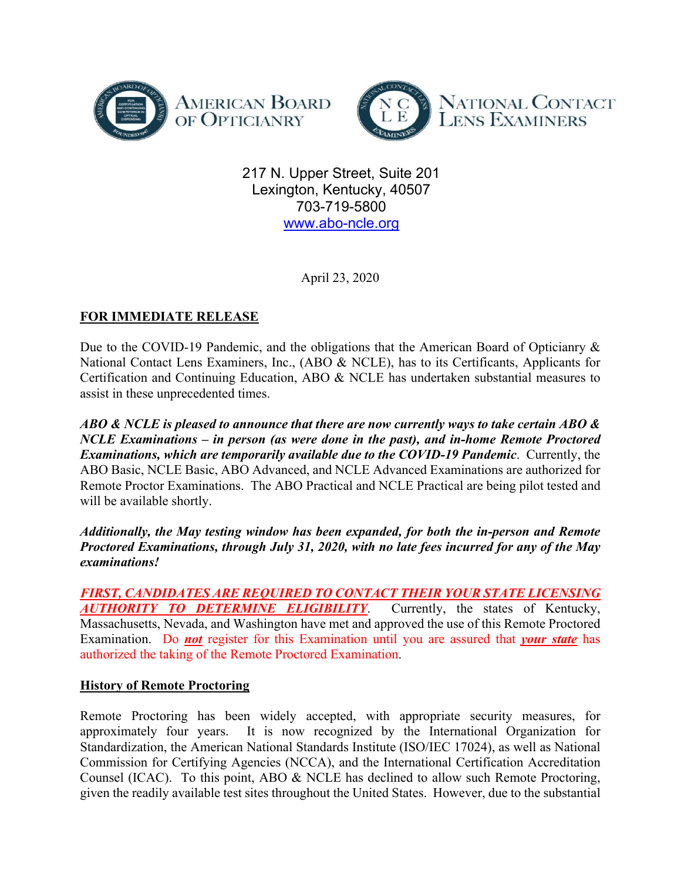



217 N. Upper Street, Suite 201 Lexington, Kentucky, 40507 703-719-5800 www.abo-ncle.org

April 23, 2020

# **FOR IMMEDIATE RELEASE**

Due to the COVID-19 Pandemic, and the obligations that the American Board of Opticianry & National Contact Lens Examiners, Inc., (ABO & NCLE), has to its Certificants, Applicants for Certification and Continuing Education, ABO & NCLE has undertaken substantial measures to assist in these unprecedented times.

*ABO & NCLE is pleased to announce that there are now currently ways to take certain ABO & NCLE Examinations – in person (as were done in the past), and in-home Remote Proctored Examinations, which are temporarily available due to the COVID-19 Pandemic*. Currently, the ABO Basic, NCLE Basic, ABO Advanced, and NCLE Advanced Examinations are authorized for Remote Proctor Examinations. The ABO Practical and NCLE Practical are being pilot tested and will be available shortly.

*Additionally, the May testing window has been expanded, for both the in-person and Remote Proctored Examinations, through July 31, 2020, with no late fees incurred for any of the May examinations!* 

*FIRST, CANDIDATES ARE REQUIRED TO CONTACT THEIR YOUR STATE LICENSING AUTHORITY TO DETERMINE ELIGIBILITY*. Currently, the states of Kentucky, Massachusetts, Nevada, and Washington have met and approved the use of this Remote Proctored Examination. Do *not* register for this Examination until you are assured that *your state* has authorized the taking of the Remote Proctored Examination.

## **History of Remote Proctoring**

Remote Proctoring has been widely accepted, with appropriate security measures, for approximately four years. It is now recognized by the International Organization for Standardization, the American National Standards Institute (ISO/IEC 17024), as well as National Commission for Certifying Agencies (NCCA), and the International Certification Accreditation Counsel (ICAC). To this point, ABO & NCLE has declined to allow such Remote Proctoring, given the readily available test sites throughout the United States. However, due to the substantial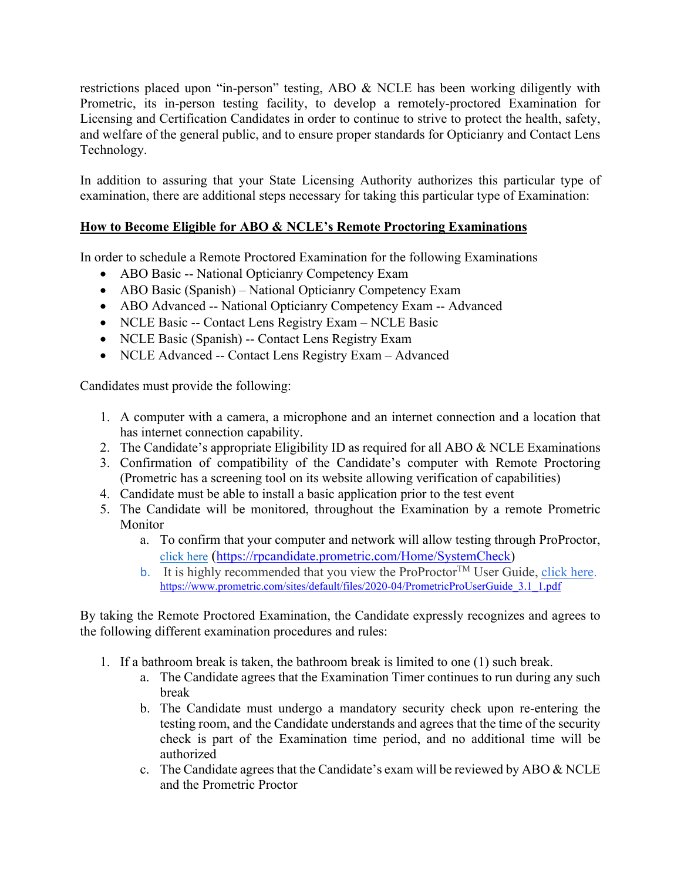restrictions placed upon "in-person" testing, ABO & NCLE has been working diligently with Prometric, its in-person testing facility, to develop a remotely-proctored Examination for Licensing and Certification Candidates in order to continue to strive to protect the health, safety, and welfare of the general public, and to ensure proper standards for Opticianry and Contact Lens Technology.

In addition to assuring that your State Licensing Authority authorizes this particular type of examination, there are additional steps necessary for taking this particular type of Examination:

## **How to Become Eligible for ABO & NCLE's Remote Proctoring Examinations**

In order to schedule a Remote Proctored Examination for the following Examinations

- ABO Basic -- National Opticianry Competency Exam
- ABO Basic (Spanish) National Opticianry Competency Exam
- ABO Advanced -- National Opticianry Competency Exam -- Advanced
- NCLE Basic -- Contact Lens Registry Exam NCLE Basic
- NCLE Basic (Spanish) -- Contact Lens Registry Exam
- NCLE Advanced -- Contact Lens Registry Exam Advanced

Candidates must provide the following:

- 1. A computer with a camera, a microphone and an internet connection and a location that has internet connection capability.
- 2. The Candidate's appropriate Eligibility ID as required for all ABO & NCLE Examinations
- 3. Confirmation of compatibility of the Candidate's computer with Remote Proctoring (Prometric has a screening tool on its website allowing verification of capabilities)
- 4. Candidate must be able to install a basic application prior to the test event
- 5. The Candidate will be monitored, throughout the Examination by a remote Prometric Monitor
	- a. To confirm that your computer and network will allow testing through ProProctor, click here (https://rpcandidate.prometric.com/Home/SystemCheck)
	- b. It is highly recommended that you view the ProProctor<sup>TM</sup> User Guide, click here. https://www.prometric.com/sites/default/files/2020-04/PrometricProUserGuide\_3.1\_1.pdf

By taking the Remote Proctored Examination, the Candidate expressly recognizes and agrees to the following different examination procedures and rules:

- 1. If a bathroom break is taken, the bathroom break is limited to one (1) such break.
	- a. The Candidate agrees that the Examination Timer continues to run during any such break
	- b. The Candidate must undergo a mandatory security check upon re-entering the testing room, and the Candidate understands and agrees that the time of the security check is part of the Examination time period, and no additional time will be authorized
	- c. The Candidate agrees that the Candidate's exam will be reviewed by ABO  $&$  NCLE and the Prometric Proctor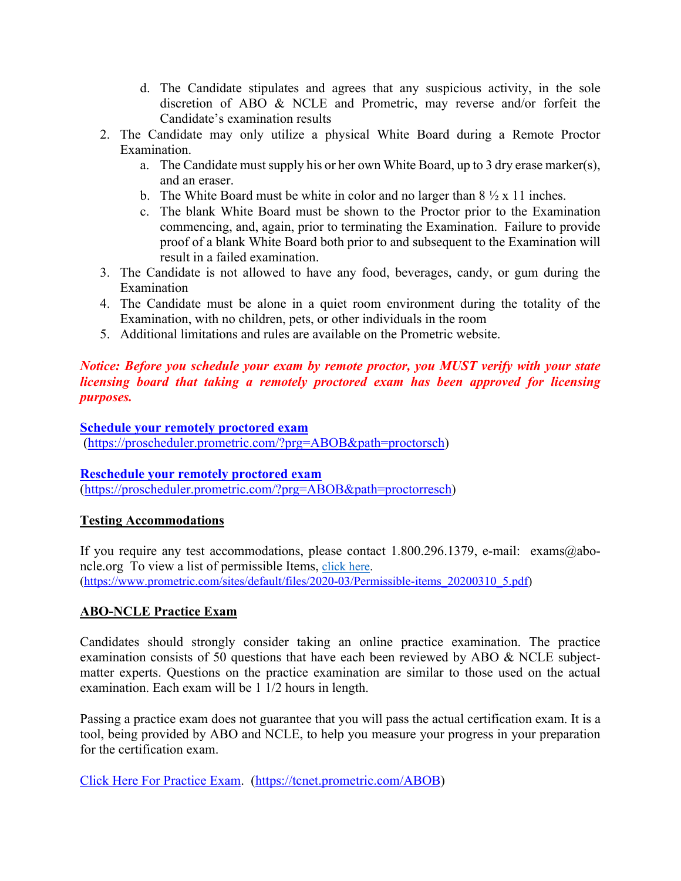- d. The Candidate stipulates and agrees that any suspicious activity, in the sole discretion of ABO & NCLE and Prometric, may reverse and/or forfeit the Candidate's examination results
- 2. The Candidate may only utilize a physical White Board during a Remote Proctor Examination.
	- a. The Candidate must supply his or her own White Board, up to 3 dry erase marker(s), and an eraser.
	- b. The White Board must be white in color and no larger than  $8\frac{1}{2} \times 11$  inches.
	- c. The blank White Board must be shown to the Proctor prior to the Examination commencing, and, again, prior to terminating the Examination. Failure to provide proof of a blank White Board both prior to and subsequent to the Examination will result in a failed examination.
- 3. The Candidate is not allowed to have any food, beverages, candy, or gum during the Examination
- 4. The Candidate must be alone in a quiet room environment during the totality of the Examination, with no children, pets, or other individuals in the room
- 5. Additional limitations and rules are available on the Prometric website.

## *Notice: Before you schedule your exam by remote proctor, you MUST verify with your state licensing board that taking a remotely proctored exam has been approved for licensing purposes.*

#### **Schedule your remotely proctored exam**

(https://proscheduler.prometric.com/?prg=ABOB&path=proctorsch)

#### **Reschedule your remotely proctored exam**

(https://proscheduler.prometric.com/?prg=ABOB&path=proctorresch)

#### **Testing Accommodations**

If you require any test accommodations, please contact 1.800.296.1379, e-mail: exams@aboncle.org To view a list of permissible Items, click here. (https://www.prometric.com/sites/default/files/2020-03/Permissible-items\_20200310\_5.pdf)

## **ABO-NCLE Practice Exam**

Candidates should strongly consider taking an online practice examination. The practice examination consists of 50 questions that have each been reviewed by ABO & NCLE subjectmatter experts. Questions on the practice examination are similar to those used on the actual examination. Each exam will be 1 1/2 hours in length.

Passing a practice exam does not guarantee that you will pass the actual certification exam. It is a tool, being provided by ABO and NCLE, to help you measure your progress in your preparation for the certification exam.

Click Here For Practice Exam. (https://tcnet.prometric.com/ABOB)